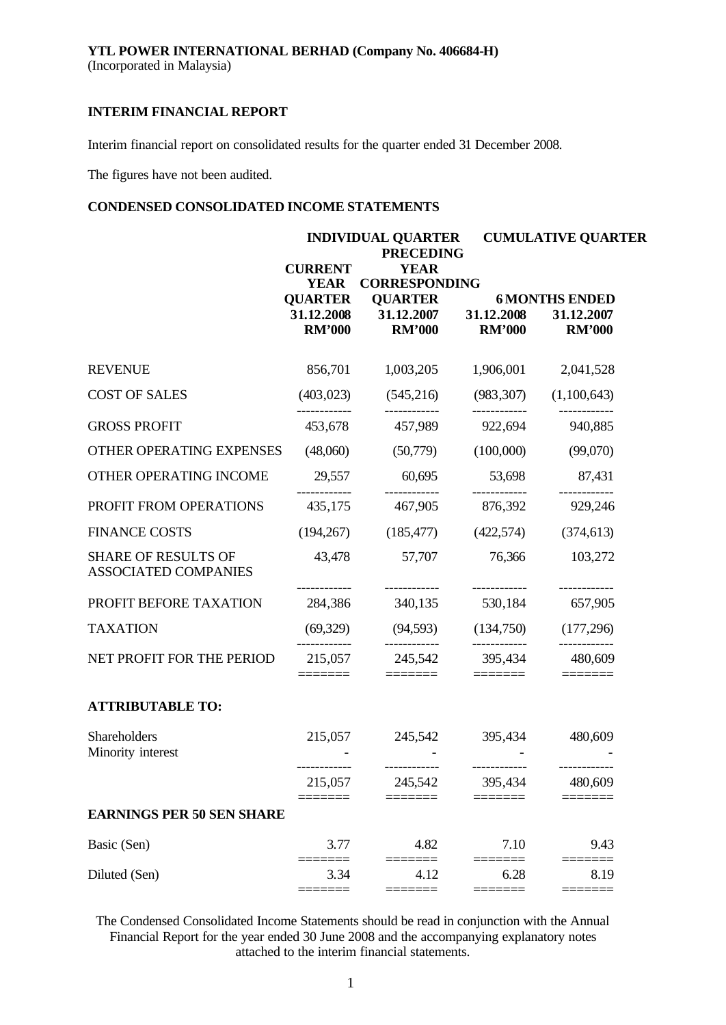Interim financial report on consolidated results for the quarter ended 31 December 2008.

The figures have not been audited.

# **CONDENSED CONSOLIDATED INCOME STATEMENTS**

|                                                    | <b>CURRENT</b>                                               | <b>INDIVIDUAL QUARTER</b><br><b>PRECEDING</b><br><b>YEAR</b>                     |                                                                                                  | <b>CUMULATIVE QUARTER</b>                            |
|----------------------------------------------------|--------------------------------------------------------------|----------------------------------------------------------------------------------|--------------------------------------------------------------------------------------------------|------------------------------------------------------|
|                                                    | <b>YEAR</b><br><b>QUARTER</b><br>31.12.2008<br><b>RM'000</b> | <b>CORRESPONDING</b><br><b>QUARTER</b><br>31.12.2007 31.12.2008<br><b>RM'000</b> | <b>RM'000</b>                                                                                    | <b>6 MONTHS ENDED</b><br>31.12.2007<br><b>RM'000</b> |
| <b>REVENUE</b>                                     | 856,701                                                      | 1,003,205                                                                        | 1,906,001                                                                                        | 2,041,528                                            |
| <b>COST OF SALES</b>                               | (403, 023)                                                   | (545,216)                                                                        | (983, 307)                                                                                       | (1,100,643)                                          |
| <b>GROSS PROFIT</b>                                | 453,678                                                      | 457,989                                                                          | ------------<br>922,694                                                                          | 940,885                                              |
| OTHER OPERATING EXPENSES                           | (48,060)                                                     | (50,779)                                                                         | (100,000)                                                                                        | (99,070)                                             |
| OTHER OPERATING INCOME                             | 29,557                                                       | 60,695                                                                           | 53,698                                                                                           | 87,431                                               |
| PROFIT FROM OPERATIONS                             | 435,175                                                      | 467,905                                                                          | 876,392                                                                                          | 929,246                                              |
| <b>FINANCE COSTS</b>                               | (194, 267)                                                   | (185, 477)                                                                       | (422,574)                                                                                        | (374, 613)                                           |
| <b>SHARE OF RESULTS OF</b><br>ASSOCIATED COMPANIES | 43,478                                                       | 57,707                                                                           | 76,366                                                                                           | 103,272                                              |
| PROFIT BEFORE TAXATION                             | 284,386                                                      | 340,135                                                                          | 530,184                                                                                          | 657,905                                              |
| <b>TAXATION</b>                                    | (69,329)<br>.                                                | (94, 593)                                                                        | (134,750)                                                                                        | (177, 296)                                           |
| NET PROFIT FOR THE PERIOD                          | 215,057<br>=======                                           | ------------<br>245,542<br>$\equiv\equiv\equiv\equiv\equiv\equiv\equiv$          | ------------<br>395,434<br>$\begin{array}{c} \textbf{---} \textbf{---} \textbf{---} \end{array}$ | ------------<br>480,609<br>$=$ $=$ $=$ $=$ $=$ $=$   |
| <b>ATTRIBUTABLE TO:</b>                            |                                                              |                                                                                  |                                                                                                  |                                                      |
| Shareholders<br>Minority interest                  | 215,057                                                      | 245,542                                                                          | 395,434                                                                                          | 480,609                                              |
|                                                    | 215,057                                                      | ------------<br>245,542                                                          | 395,434                                                                                          | 480,609                                              |
| <b>EARNINGS PER 50 SEN SHARE</b>                   |                                                              |                                                                                  |                                                                                                  |                                                      |
| Basic (Sen)                                        | 3.77                                                         | 4.82                                                                             | 7.10                                                                                             | 9.43                                                 |
| Diluted (Sen)                                      | 3.34<br>$=$ $=$ $=$ $=$                                      | 4.12<br>====                                                                     | 6.28                                                                                             | 8.19                                                 |
|                                                    |                                                              |                                                                                  |                                                                                                  |                                                      |

The Condensed Consolidated Income Statements should be read in conjunction with the Annual Financial Report for the year ended 30 June 2008 and the accompanying explanatory notes attached to the interim financial statements.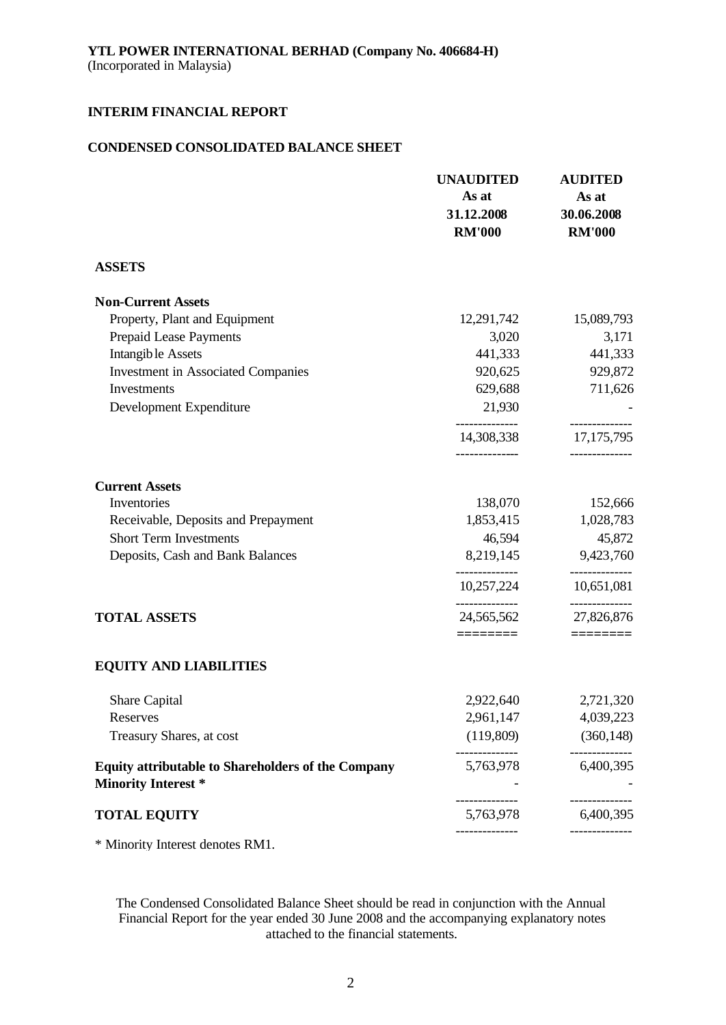# **CONDENSED CONSOLIDATED BALANCE SHEET**

|                                                                                         | <b>UNAUDITED</b><br>As at<br>31.12.2008<br><b>RM'000</b> | <b>AUDITED</b><br>As at<br>30.06.2008<br><b>RM'000</b> |
|-----------------------------------------------------------------------------------------|----------------------------------------------------------|--------------------------------------------------------|
| <b>ASSETS</b>                                                                           |                                                          |                                                        |
| <b>Non-Current Assets</b>                                                               |                                                          |                                                        |
| Property, Plant and Equipment                                                           | 12,291,742                                               | 15,089,793                                             |
| Prepaid Lease Payments                                                                  | 3,020                                                    | 3,171                                                  |
| <b>Intangible Assets</b>                                                                | 441,333                                                  | 441,333                                                |
| <b>Investment in Associated Companies</b>                                               | 920,625                                                  | 929,872                                                |
| Investments                                                                             | 629,688                                                  | 711,626                                                |
| Development Expenditure                                                                 | 21,930                                                   |                                                        |
|                                                                                         | 14,308,338                                               | 17, 175, 795                                           |
| <b>Current Assets</b>                                                                   |                                                          |                                                        |
| Inventories                                                                             | 138,070                                                  | 152,666                                                |
| Receivable, Deposits and Prepayment                                                     | 1,853,415                                                | 1,028,783                                              |
| <b>Short Term Investments</b>                                                           | 46,594                                                   | 45,872                                                 |
| Deposits, Cash and Bank Balances                                                        | 8,219,145                                                | 9,423,760                                              |
|                                                                                         | 10,257,224                                               | 10,651,081                                             |
| <b>TOTAL ASSETS</b>                                                                     | 24,565,562                                               | 27,826,876                                             |
|                                                                                         | ========                                                 |                                                        |
| <b>EQUITY AND LIABILITIES</b>                                                           |                                                          |                                                        |
| Share Capital                                                                           | 2,922,640                                                | 2,721,320                                              |
| Reserves                                                                                | 2,961,147                                                | 4,039,223                                              |
| Treasury Shares, at cost                                                                | (119,809)                                                | (360, 148)                                             |
| <b>Equity attributable to Shareholders of the Company</b><br><b>Minority Interest *</b> | 5,763,978                                                | 6,400,395                                              |
| <b>TOTAL EQUITY</b>                                                                     | 5,763,978                                                | 6,400,395                                              |
|                                                                                         |                                                          |                                                        |

\* Minority Interest denotes RM1.

The Condensed Consolidated Balance Sheet should be read in conjunction with the Annual Financial Report for the year ended 30 June 2008 and the accompanying explanatory notes attached to the financial statements.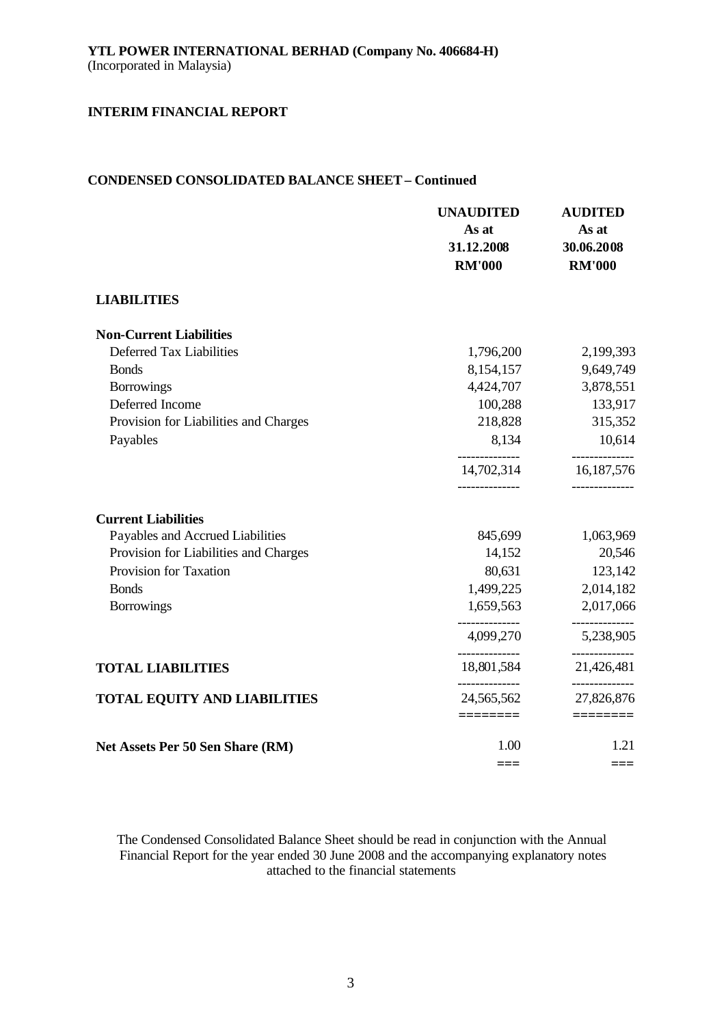# **CONDENSED CONSOLIDATED BALANCE SHEET – Continued**

|                                       | <b>UNAUDITED</b><br>As at<br>31.12.2008<br><b>RM'000</b> | <b>AUDITED</b><br>As at<br>30.06.2008<br><b>RM'000</b> |
|---------------------------------------|----------------------------------------------------------|--------------------------------------------------------|
| <b>LIABILITIES</b>                    |                                                          |                                                        |
| <b>Non-Current Liabilities</b>        |                                                          |                                                        |
| Deferred Tax Liabilities              | 1,796,200                                                | 2,199,393                                              |
| <b>Bonds</b>                          | 8,154,157                                                | 9,649,749                                              |
| <b>Borrowings</b>                     | 4,424,707                                                | 3,878,551                                              |
| Deferred Income                       | 100,288                                                  | 133,917                                                |
| Provision for Liabilities and Charges | 218,828                                                  | 315,352                                                |
| Payables                              | 8,134                                                    | 10,614                                                 |
|                                       | 14,702,314<br>-------------                              | 16,187,576                                             |
| <b>Current Liabilities</b>            |                                                          |                                                        |
| Payables and Accrued Liabilities      | 845,699                                                  | 1,063,969                                              |
| Provision for Liabilities and Charges | 14,152                                                   | 20,546                                                 |
| Provision for Taxation                | 80,631                                                   | 123,142                                                |
| <b>Bonds</b>                          | 1,499,225                                                | 2,014,182                                              |
| <b>Borrowings</b>                     | 1,659,563                                                | 2,017,066                                              |
|                                       | 4,099,270                                                | 5,238,905                                              |
| <b>TOTAL LIABILITIES</b>              | 18,801,584                                               | 21,426,481                                             |
| TOTAL EQUITY AND LIABILITIES          | 24,565,562                                               | 27,826,876                                             |
|                                       | ========                                                 | ========                                               |
| Net Assets Per 50 Sen Share (RM)      | 1.00                                                     | 1.21                                                   |
|                                       | ===                                                      | $===$                                                  |

The Condensed Consolidated Balance Sheet should be read in conjunction with the Annual Financial Report for the year ended 30 June 2008 and the accompanying explanatory notes attached to the financial statements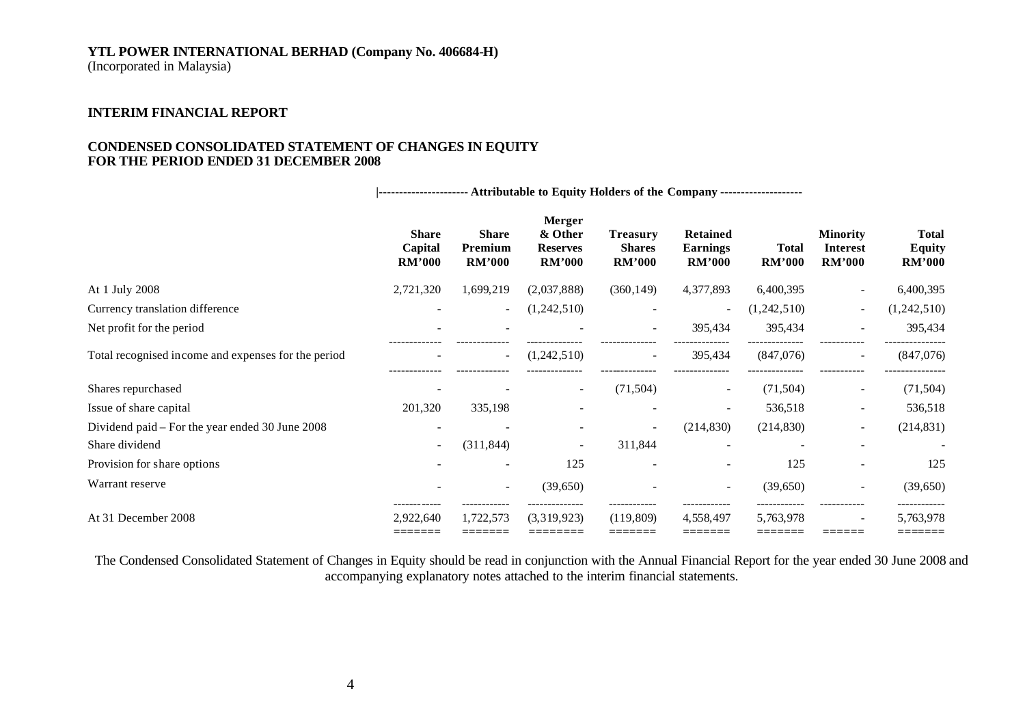(Incorporated in Malaysia)

# **INTERIM FINANCIAL REPORT**

### **CONDENSED CONSOLIDATED STATEMENT OF CHANGES IN EQUITY FOR THE PERIOD ENDED 31 DECEMBER 2008**

**|---------------------- Attributable to Equity Holders of the Company --------------------**

|                                                     | <b>Share</b><br>Capital<br><b>RM'000</b> | <b>Share</b><br>Premium<br><b>RM'000</b> | Merger<br>& Other<br><b>Reserves</b><br><b>RM'000</b> | <b>Treasury</b><br><b>Shares</b><br><b>RM'000</b> | <b>Retained</b><br><b>Earnings</b><br><b>RM'000</b> | <b>Total</b><br><b>RM'000</b> | <b>Minority</b><br><b>Interest</b><br><b>RM'000</b> | <b>Total</b><br><b>Equity</b><br><b>RM'000</b> |
|-----------------------------------------------------|------------------------------------------|------------------------------------------|-------------------------------------------------------|---------------------------------------------------|-----------------------------------------------------|-------------------------------|-----------------------------------------------------|------------------------------------------------|
| At 1 July 2008                                      | 2,721,320                                | 1,699,219                                | (2,037,888)                                           | (360, 149)                                        | 4,377,893                                           | 6,400,395                     |                                                     | 6,400,395                                      |
| Currency translation difference                     |                                          | $\overline{\phantom{a}}$                 | (1,242,510)                                           | $\overline{\phantom{a}}$                          | $\overline{\phantom{0}}$                            | (1,242,510)                   | $\overline{\phantom{a}}$                            | (1,242,510)                                    |
| Net profit for the period                           |                                          |                                          |                                                       |                                                   | 395,434                                             | 395,434                       |                                                     | 395,434                                        |
| Total recognised income and expenses for the period |                                          | $\overline{\phantom{a}}$                 | (1,242,510)                                           |                                                   | 395,434                                             | (847,076)                     |                                                     | (847,076)                                      |
| Shares repurchased                                  |                                          |                                          |                                                       | (71,504)                                          | $\overline{\phantom{a}}$                            | (71, 504)                     | $\overline{\phantom{a}}$                            | (71, 504)                                      |
| Issue of share capital                              | 201,320                                  | 335,198                                  |                                                       |                                                   |                                                     | 536,518                       | $\overline{\phantom{0}}$                            | 536,518                                        |
| Dividend paid – For the year ended 30 June 2008     |                                          |                                          |                                                       | $\sim$                                            | (214, 830)                                          | (214, 830)                    | $\overline{\phantom{a}}$                            | (214, 831)                                     |
| Share dividend                                      | $\overline{\phantom{a}}$                 | (311, 844)                               |                                                       | 311,844                                           |                                                     |                               |                                                     |                                                |
| Provision for share options                         |                                          |                                          | 125                                                   |                                                   |                                                     | 125                           |                                                     | 125                                            |
| Warrant reserve                                     |                                          | $\overline{\phantom{a}}$                 | (39,650)                                              |                                                   | $\overline{\phantom{a}}$                            | (39,650)                      |                                                     | (39,650)                                       |
| At 31 December 2008                                 | 2,922,640                                | 1,722,573                                | (3,319,923)                                           | (119,809)                                         | 4,558,497                                           | 5,763,978                     | $\overline{\phantom{0}}$                            | 5,763,978<br>======                            |

The Condensed Consolidated Statement of Changes in Equity should be read in conjunction with the Annual Financial Report for the year ended 30 June 2008 and accompanying explanatory notes attached to the interim financial statements.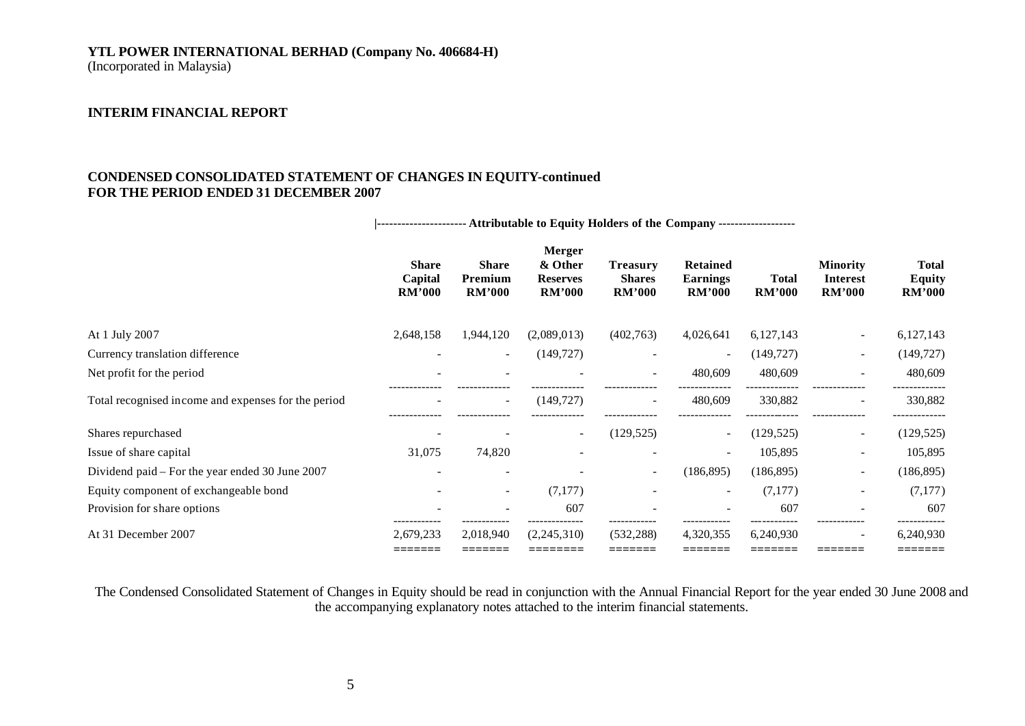(Incorporated in Malaysia)

# **INTERIM FINANCIAL REPORT**

# **CONDENSED CONSOLIDATED STATEMENT OF CHANGES IN EQUITY-continued FOR THE PERIOD ENDED 31 DECEMBER 2007**

|                                                     | --------------------- Attributable to Equity Holders of the Company ------------------ |                                          |                                                              |                                                   |                                                     |                               |                                                     |                                                |
|-----------------------------------------------------|----------------------------------------------------------------------------------------|------------------------------------------|--------------------------------------------------------------|---------------------------------------------------|-----------------------------------------------------|-------------------------------|-----------------------------------------------------|------------------------------------------------|
|                                                     | <b>Share</b><br>Capital<br><b>RM'000</b>                                               | <b>Share</b><br>Premium<br><b>RM'000</b> | <b>Merger</b><br>& Other<br><b>Reserves</b><br><b>RM'000</b> | <b>Treasury</b><br><b>Shares</b><br><b>RM'000</b> | <b>Retained</b><br><b>Earnings</b><br><b>RM'000</b> | <b>Total</b><br><b>RM'000</b> | <b>Minority</b><br><b>Interest</b><br><b>RM'000</b> | <b>Total</b><br><b>Equity</b><br><b>RM'000</b> |
| At 1 July 2007                                      | 2,648,158                                                                              | 1,944,120                                | (2,089,013)                                                  | (402,763)                                         | 4,026,641                                           | 6, 127, 143                   | $\sim$                                              | 6,127,143                                      |
| Currency translation difference                     |                                                                                        | $\sim$                                   | (149, 727)                                                   |                                                   | $\overline{\phantom{0}}$                            | (149, 727)                    | $\sim$                                              | (149, 727)                                     |
| Net profit for the period                           |                                                                                        |                                          |                                                              |                                                   | 480,609                                             | 480,609                       |                                                     | 480,609                                        |
| Total recognised income and expenses for the period |                                                                                        | $\overline{\phantom{a}}$                 | (149, 727)                                                   |                                                   | 480,609                                             | 330,882                       |                                                     | 330,882                                        |
| Shares repurchased                                  |                                                                                        |                                          | $\overline{\phantom{a}}$                                     | (129, 525)                                        | $\overline{\phantom{a}}$                            | (129, 525)                    | $\overline{\phantom{a}}$                            | (129, 525)                                     |
| Issue of share capital                              | 31,075                                                                                 | 74,820                                   |                                                              |                                                   | $\overline{\phantom{a}}$                            | 105,895                       | $\sim$                                              | 105,895                                        |
| Dividend paid – For the year ended 30 June 2007     |                                                                                        |                                          |                                                              | $\overline{\phantom{a}}$                          | (186, 895)                                          | (186, 895)                    | $\overline{\phantom{a}}$                            | (186, 895)                                     |
| Equity component of exchangeable bond               |                                                                                        | $\overline{\phantom{a}}$                 | (7,177)                                                      |                                                   |                                                     | (7,177)                       | $\overline{\phantom{a}}$                            | (7,177)                                        |
| Provision for share options                         |                                                                                        | $\overline{\phantom{a}}$                 | 607                                                          |                                                   |                                                     | 607                           |                                                     | 607                                            |
| At 31 December 2007                                 | 2,679,233<br>=======                                                                   | 2,018,940<br>=======                     | (2,245,310)<br>:=======                                      | (532, 288)<br>=======                             | 4,320,355<br>=======                                | 6,240,930<br>=======          | -------                                             | 6,240,930<br>=======                           |

The Condensed Consolidated Statement of Changes in Equity should be read in conjunction with the Annual Financial Report for the year ended 30 June 2008 and the accompanying explanatory notes attached to the interim financial statements.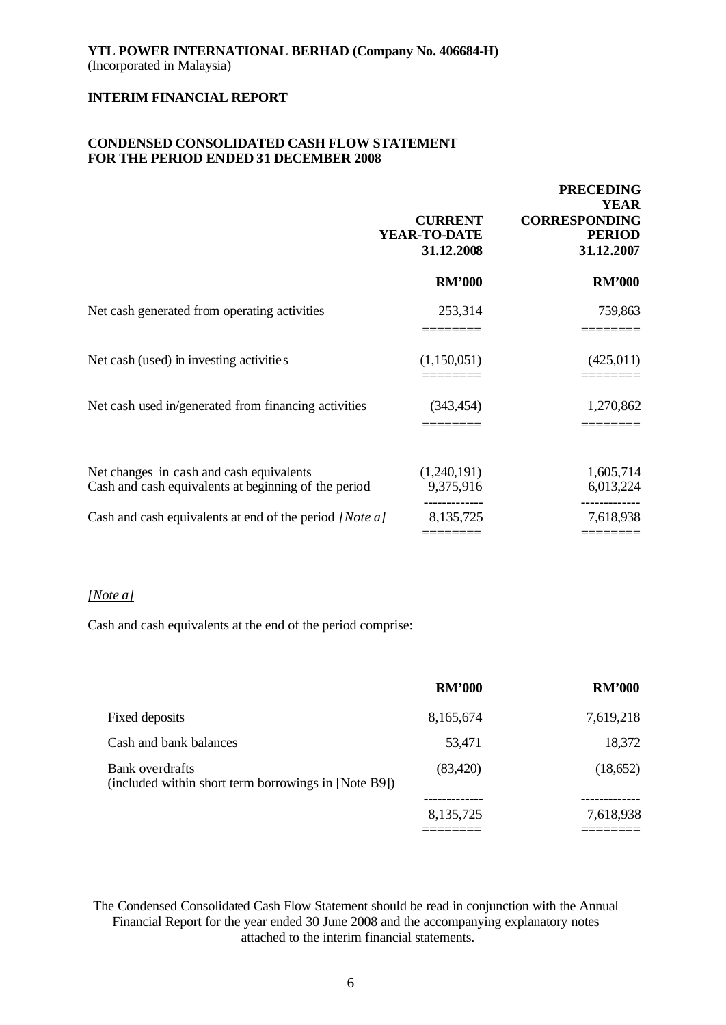# **CONDENSED CONSOLIDATED CASH FLOW STATEMENT FOR THE PERIOD ENDED 31 DECEMBER 2008**

|                                                                                                  | <b>CURRENT</b><br>YEAR-TO-DATE<br>31.12.2008 | <b>PRECEDING</b><br><b>YEAR</b><br><b>CORRESPONDING</b><br><b>PERIOD</b><br>31.12.2007 |
|--------------------------------------------------------------------------------------------------|----------------------------------------------|----------------------------------------------------------------------------------------|
|                                                                                                  | <b>RM'000</b>                                | <b>RM'000</b>                                                                          |
| Net cash generated from operating activities                                                     | 253,314                                      | 759,863                                                                                |
| Net cash (used) in investing activities                                                          | (1,150,051)                                  | (425,011)                                                                              |
| Net cash used in/generated from financing activities                                             | (343, 454)                                   | 1,270,862                                                                              |
| Net changes in cash and cash equivalents<br>Cash and cash equivalents at beginning of the period | (1,240,191)<br>9,375,916                     | 1,605,714<br>6,013,224                                                                 |
| Cash and cash equivalents at end of the period [Note a]                                          | 8,135,725                                    | 7,618,938                                                                              |

#### *[Note a]*

Cash and cash equivalents at the end of the period comprise:

|                                                                                | <b>RM'000</b> | <b>RM'000</b> |
|--------------------------------------------------------------------------------|---------------|---------------|
| Fixed deposits                                                                 | 8,165,674     | 7,619,218     |
| Cash and bank balances                                                         | 53,471        | 18,372        |
| <b>Bank</b> overdrafts<br>(included within short term borrowings in [Note B9]) | (83, 420)     | (18,652)      |
|                                                                                | 8,135,725     | 7,618,938     |
|                                                                                |               |               |

The Condensed Consolidated Cash Flow Statement should be read in conjunction with the Annual Financial Report for the year ended 30 June 2008 and the accompanying explanatory notes attached to the interim financial statements.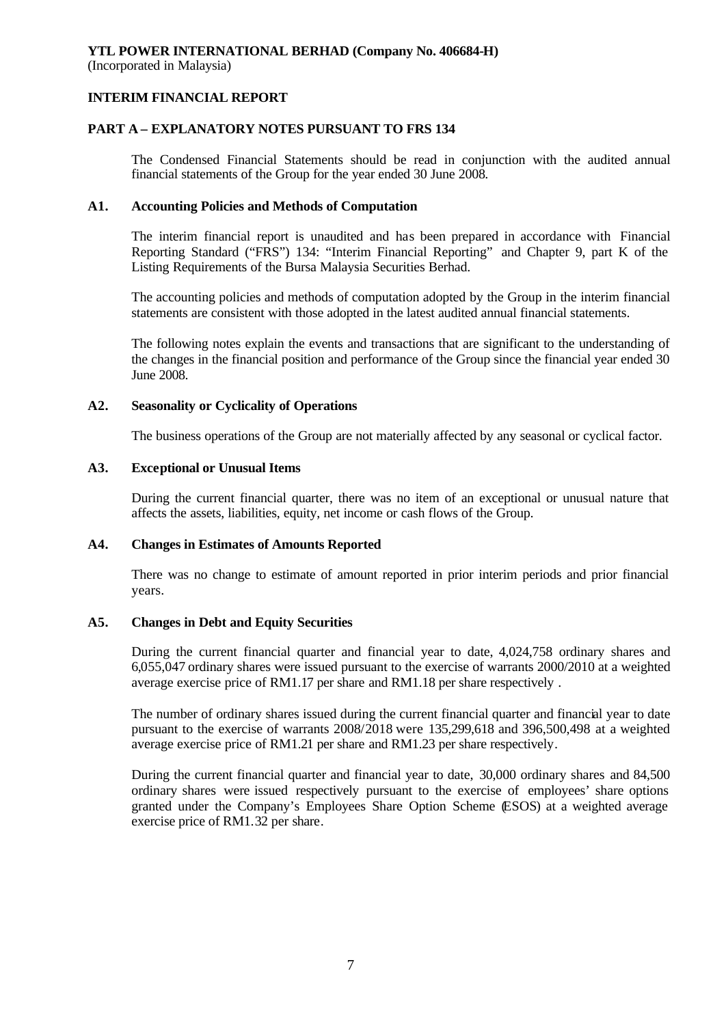# **INTERIM FINANCIAL REPORT**

# **PART A – EXPLANATORY NOTES PURSUANT TO FRS 134**

The Condensed Financial Statements should be read in conjunction with the audited annual financial statements of the Group for the year ended 30 June 2008.

# **A1. Accounting Policies and Methods of Computation**

The interim financial report is unaudited and has been prepared in accordance with Financial Reporting Standard ("FRS") 134: "Interim Financial Reporting" and Chapter 9, part K of the Listing Requirements of the Bursa Malaysia Securities Berhad.

The accounting policies and methods of computation adopted by the Group in the interim financial statements are consistent with those adopted in the latest audited annual financial statements.

The following notes explain the events and transactions that are significant to the understanding of the changes in the financial position and performance of the Group since the financial year ended 30 June 2008.

# **A2. Seasonality or Cyclicality of Operations**

The business operations of the Group are not materially affected by any seasonal or cyclical factor.

## **A3. Exceptional or Unusual Items**

During the current financial quarter, there was no item of an exceptional or unusual nature that affects the assets, liabilities, equity, net income or cash flows of the Group.

## **A4. Changes in Estimates of Amounts Reported**

There was no change to estimate of amount reported in prior interim periods and prior financial years.

## **A5. Changes in Debt and Equity Securities**

During the current financial quarter and financial year to date, 4,024,758 ordinary shares and 6,055,047 ordinary shares were issued pursuant to the exercise of warrants 2000/2010 at a weighted average exercise price of RM1.17 per share and RM1.18 per share respectively .

The number of ordinary shares issued during the current financial quarter and financial year to date pursuant to the exercise of warrants 2008/2018 were 135,299,618 and 396,500,498 at a weighted average exercise price of RM1.21 per share and RM1.23 per share respectively.

During the current financial quarter and financial year to date, 30,000 ordinary shares and 84,500 ordinary shares were issued respectively pursuant to the exercise of employees' share options granted under the Company's Employees Share Option Scheme (ESOS) at a weighted average exercise price of RM1.32 per share.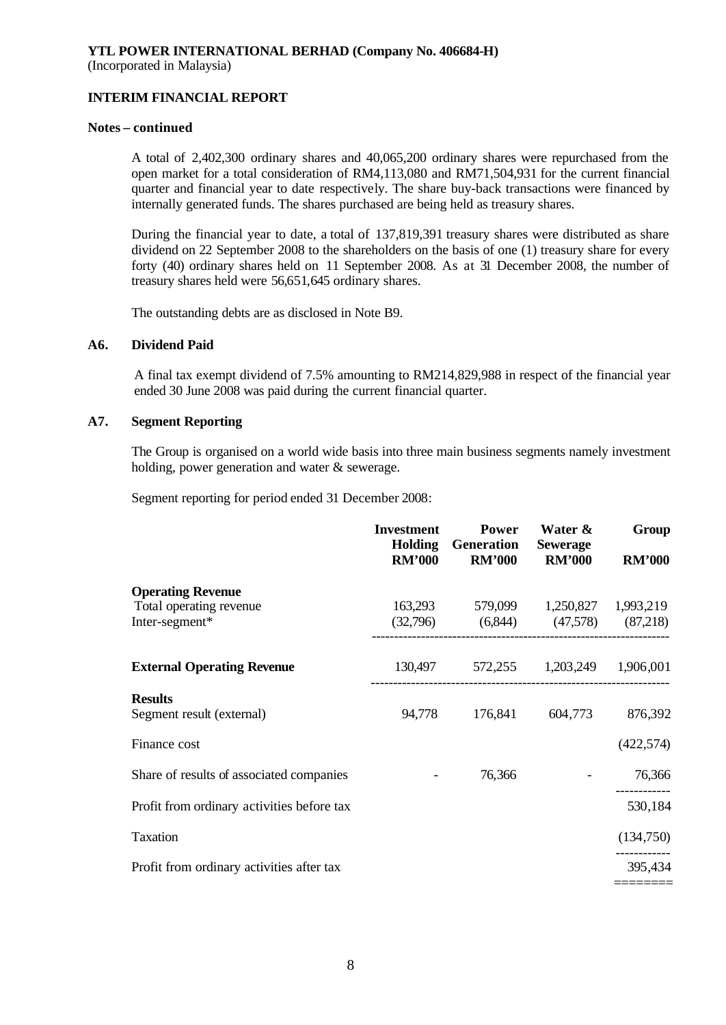# **INTERIM FINANCIAL REPORT**

### **Notes – continued**

A total of 2,402,300 ordinary shares and 40,065,200 ordinary shares were repurchased from the open market for a total consideration of RM4,113,080 and RM71,504,931 for the current financial quarter and financial year to date respectively. The share buy-back transactions were financed by internally generated funds. The shares purchased are being held as treasury shares.

During the financial year to date, a total of 137,819,391 treasury shares were distributed as share dividend on 22 September 2008 to the shareholders on the basis of one (1) treasury share for every forty (40) ordinary shares held on 11 September 2008. As at 31 December 2008, the number of treasury shares held were 56,651,645 ordinary shares.

The outstanding debts are as disclosed in Note B9.

## **A6. Dividend Paid**

A final tax exempt dividend of 7.5% amounting to RM214,829,988 in respect of the financial year ended 30 June 2008 was paid during the current financial quarter.

# **A7. Segment Reporting**

The Group is organised on a world wide basis into three main business segments namely investment holding, power generation and water & sewerage.

Segment reporting for period ended 31 December 2008:

|                                            | <b>Investment</b><br>Holding<br><b>RM'000</b> | Power<br><b>Generation</b><br><b>RM'000</b> | Water &<br><b>Sewerage</b><br><b>RM'000</b> | Group<br><b>RM'000</b> |
|--------------------------------------------|-----------------------------------------------|---------------------------------------------|---------------------------------------------|------------------------|
| <b>Operating Revenue</b>                   |                                               |                                             |                                             |                        |
| Total operating revenue                    |                                               | 163,293 579,099 1,250,827 1,993,219         |                                             |                        |
| Inter-segment*                             |                                               | $(32,796)$ $(6,844)$ $(47,578)$ $(87,218)$  |                                             |                        |
| <b>External Operating Revenue</b>          |                                               | 130,497 572,255 1,203,249 1,906,001         |                                             |                        |
| <b>Results</b>                             |                                               |                                             |                                             |                        |
| Segment result (external)                  | 94,778                                        | 176,841                                     | 604,773                                     | 876,392                |
| Finance cost                               |                                               |                                             |                                             | (422,574)              |
| Share of results of associated companies   |                                               | 76,366                                      |                                             | 76,366                 |
| Profit from ordinary activities before tax |                                               |                                             |                                             | 530,184                |
| <b>Taxation</b>                            |                                               |                                             |                                             | (134,750)              |
| Profit from ordinary activities after tax  |                                               |                                             |                                             | 395,434                |
|                                            |                                               |                                             |                                             |                        |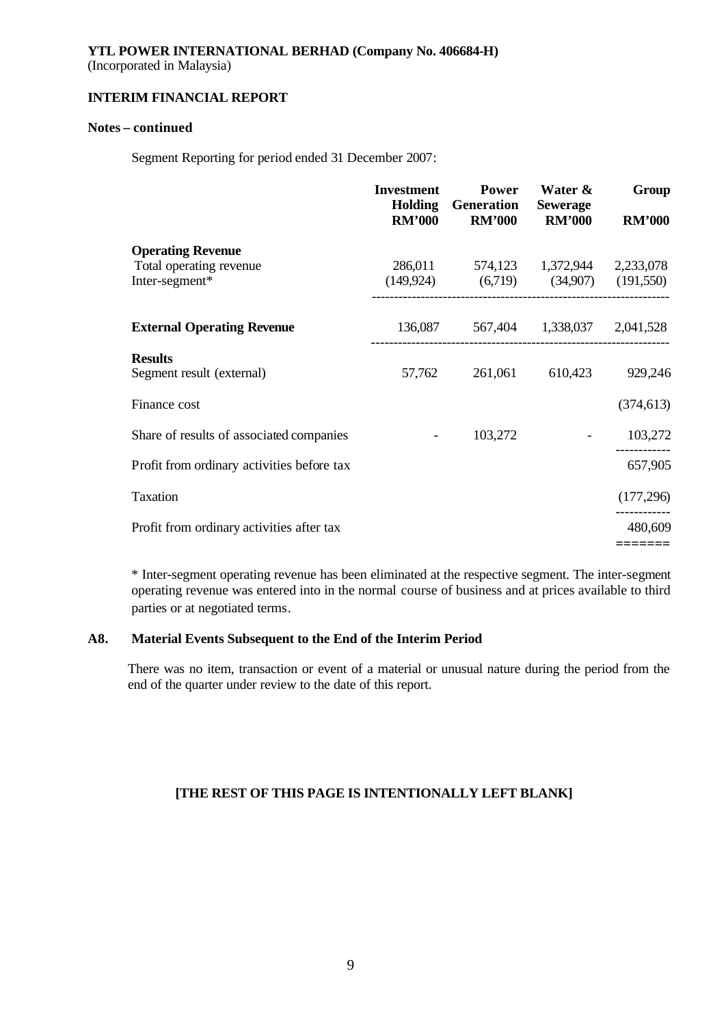(Incorporated in Malaysia)

# **INTERIM FINANCIAL REPORT**

# **Notes – continued**

Segment Reporting for period ended 31 December 2007:

|                                             | <b>Investment</b><br><b>RM'000</b> | <b>Power</b><br><b>Holding</b> Generation<br><b>RM'000</b>                          | Water &<br><b>Sewerage</b><br><b>RM'000</b> | Group<br><b>RM'000</b> |
|---------------------------------------------|------------------------------------|-------------------------------------------------------------------------------------|---------------------------------------------|------------------------|
| <b>Operating Revenue</b>                    |                                    |                                                                                     |                                             |                        |
| Total operating revenue<br>Inter-segment*   |                                    | 286,011 574,123 1,372,944 2,233,078<br>$(149,924)$ $(6,719)$ $(34,907)$ $(191,550)$ |                                             |                        |
| <b>External Operating Revenue</b>           |                                    | 136,087 567,404 1,338,037 2,041,528                                                 |                                             |                        |
| <b>Results</b><br>Segment result (external) | 57,762                             | 261,061                                                                             | 610,423                                     | 929,246                |
| Finance cost                                |                                    |                                                                                     |                                             | (374, 613)             |
| Share of results of associated companies    | $\sim$                             | 103,272                                                                             |                                             | 103,272                |
| Profit from ordinary activities before tax  |                                    |                                                                                     |                                             | 657,905                |
| Taxation                                    |                                    |                                                                                     |                                             | (177, 296)             |
| Profit from ordinary activities after tax   |                                    |                                                                                     |                                             | 480,609                |
|                                             |                                    |                                                                                     |                                             | =======                |

\* Inter-segment operating revenue has been eliminated at the respective segment. The inter-segment operating revenue was entered into in the normal course of business and at prices available to third parties or at negotiated terms.

## **A8. Material Events Subsequent to the End of the Interim Period**

There was no item, transaction or event of a material or unusual nature during the period from the end of the quarter under review to the date of this report.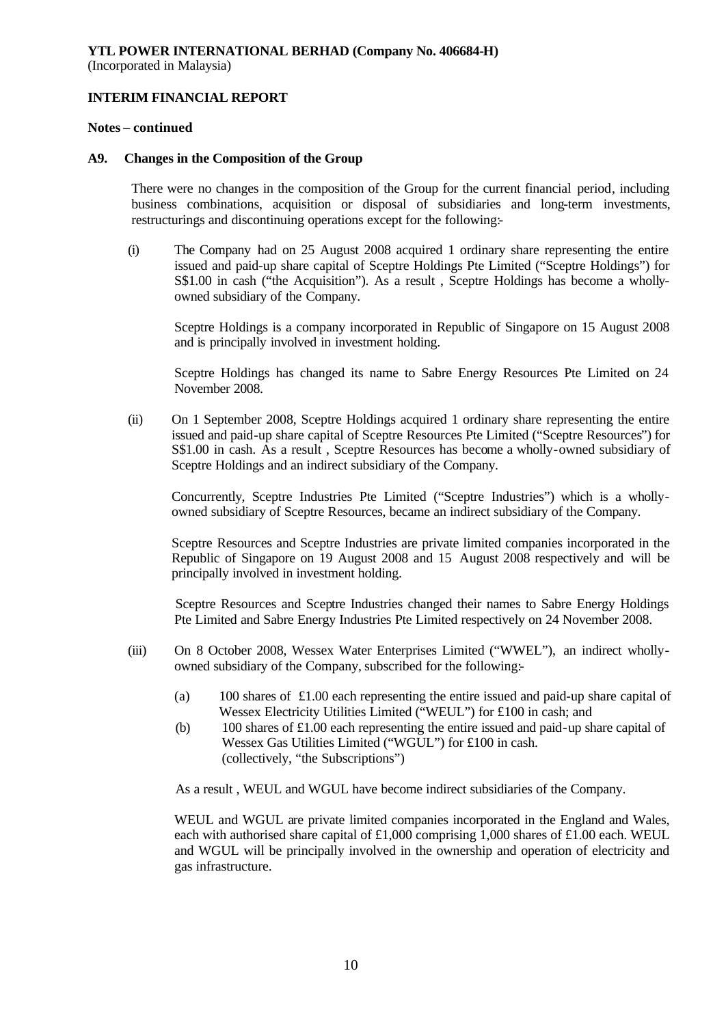(Incorporated in Malaysia)

# **INTERIM FINANCIAL REPORT**

## **Notes – continued**

# **A9. Changes in the Composition of the Group**

There were no changes in the composition of the Group for the current financial period, including business combinations, acquisition or disposal of subsidiaries and long-term investments, restructurings and discontinuing operations except for the following:-

(i) The Company had on 25 August 2008 acquired 1 ordinary share representing the entire issued and paid-up share capital of Sceptre Holdings Pte Limited ("Sceptre Holdings") for S\$1.00 in cash ("the Acquisition"). As a result , Sceptre Holdings has become a whollyowned subsidiary of the Company.

Sceptre Holdings is a company incorporated in Republic of Singapore on 15 August 2008 and is principally involved in investment holding.

Sceptre Holdings has changed its name to Sabre Energy Resources Pte Limited on 24 November 2008.

(ii) On 1 September 2008, Sceptre Holdings acquired 1 ordinary share representing the entire issued and paid-up share capital of Sceptre Resources Pte Limited ("Sceptre Resources") for S\$1.00 in cash. As a result , Sceptre Resources has become a wholly-owned subsidiary of Sceptre Holdings and an indirect subsidiary of the Company.

Concurrently, Sceptre Industries Pte Limited ("Sceptre Industries") which is a whollyowned subsidiary of Sceptre Resources, became an indirect subsidiary of the Company.

Sceptre Resources and Sceptre Industries are private limited companies incorporated in the Republic of Singapore on 19 August 2008 and 15 August 2008 respectively and will be principally involved in investment holding.

Sceptre Resources and Sceptre Industries changed their names to Sabre Energy Holdings Pte Limited and Sabre Energy Industries Pte Limited respectively on 24 November 2008.

- (iii) On 8 October 2008, Wessex Water Enterprises Limited ("WWEL"), an indirect whollyowned subsidiary of the Company, subscribed for the following:-
	- (a) 100 shares of £1.00 each representing the entire issued and paid-up share capital of Wessex Electricity Utilities Limited ("WEUL") for £100 in cash; and
	- (b) 100 shares of £1.00 each representing the entire issued and paid-up share capital of Wessex Gas Utilities Limited ("WGUL") for £100 in cash. (collectively, "the Subscriptions")

As a result , WEUL and WGUL have become indirect subsidiaries of the Company.

WEUL and WGUL are private limited companies incorporated in the England and Wales, each with authorised share capital of £1,000 comprising 1,000 shares of £1.00 each. WEUL and WGUL will be principally involved in the ownership and operation of electricity and gas infrastructure.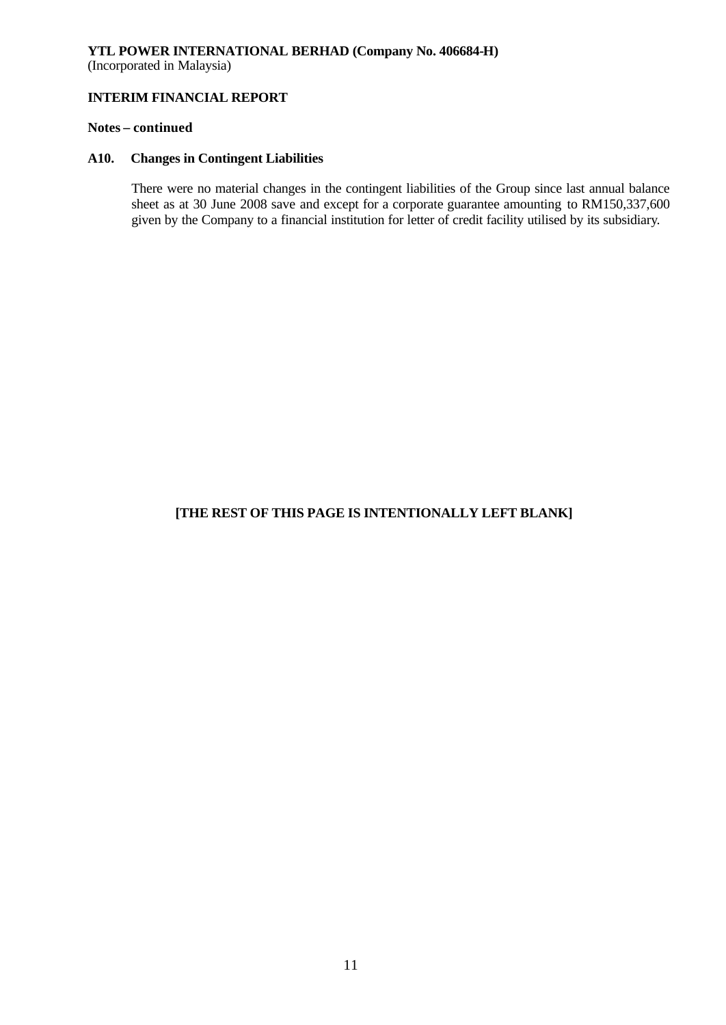# **YTL POWER INTERNATIONAL BERHAD (Company No. 406684-H)** (Incorporated in Malaysia)

# **INTERIM FINANCIAL REPORT**

## **Notes – continued**

#### **A10. Changes in Contingent Liabilities**

There were no material changes in the contingent liabilities of the Group since last annual balance sheet as at 30 June 2008 save and except for a corporate guarantee amounting to RM150,337,600 given by the Company to a financial institution for letter of credit facility utilised by its subsidiary.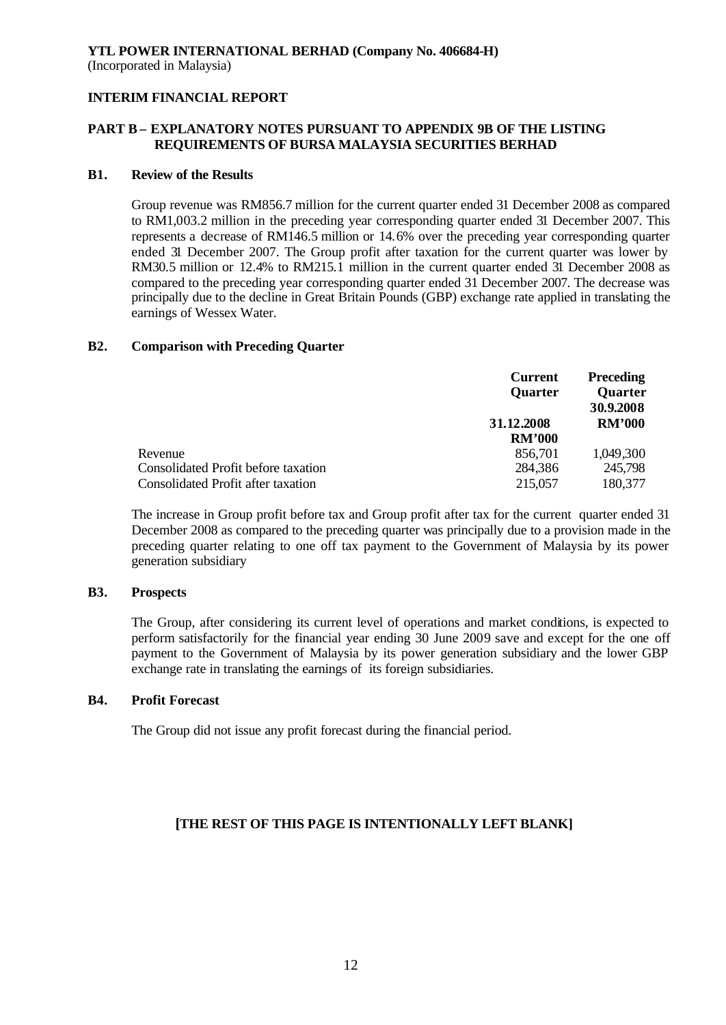# **PART B – EXPLANATORY NOTES PURSUANT TO APPENDIX 9B OF THE LISTING REQUIREMENTS OF BURSA MALAYSIA SECURITIES BERHAD**

### **B1. Review of the Results**

Group revenue was RM856.7 million for the current quarter ended 31 December 2008 as compared to RM1,003.2 million in the preceding year corresponding quarter ended 31 December 2007. This represents a decrease of RM146.5 million or 14.6% over the preceding year corresponding quarter ended 31 December 2007. The Group profit after taxation for the current quarter was lower by RM30.5 million or 12.4% to RM215.1 million in the current quarter ended 31 December 2008 as compared to the preceding year corresponding quarter ended 31 December 2007. The decrease was principally due to the decline in Great Britain Pounds (GBP) exchange rate applied in translating the earnings of Wessex Water.

#### **B2. Comparison with Preceding Quarter**

|                                            | <b>Current</b> | <b>Preceding</b> |
|--------------------------------------------|----------------|------------------|
|                                            | <b>Quarter</b> | <b>Quarter</b>   |
|                                            |                | 30.9.2008        |
|                                            | 31.12.2008     | <b>RM'000</b>    |
|                                            | <b>RM'000</b>  |                  |
| Revenue                                    | 856,701        | 1,049,300        |
| <b>Consolidated Profit before taxation</b> | 284,386        | 245,798          |
| Consolidated Profit after taxation         | 215,057        | 180,377          |

The increase in Group profit before tax and Group profit after tax for the current quarter ended 31 December 2008 as compared to the preceding quarter was principally due to a provision made in the preceding quarter relating to one off tax payment to the Government of Malaysia by its power generation subsidiary

# **B3. Prospects**

The Group, after considering its current level of operations and market conditions, is expected to perform satisfactorily for the financial year ending 30 June 2009 save and except for the one off payment to the Government of Malaysia by its power generation subsidiary and the lower GBP exchange rate in translating the earnings of its foreign subsidiaries.

## **B4. Profit Forecast**

The Group did not issue any profit forecast during the financial period.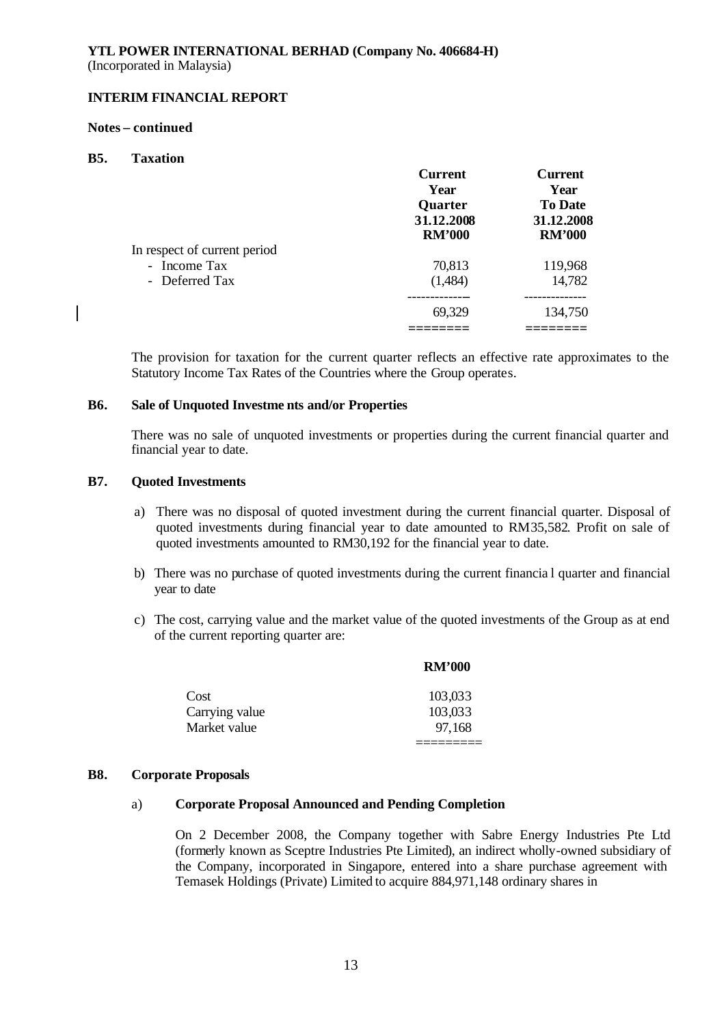### **Notes – continued**

### **B5. Taxation**

 $\mathbf{I}$ 

|                              | <b>Current</b> | <b>Current</b> |
|------------------------------|----------------|----------------|
|                              | Year           | Year           |
|                              | Quarter        | <b>To Date</b> |
|                              | 31.12.2008     | 31.12.2008     |
|                              | <b>RM'000</b>  | <b>RM'000</b>  |
| In respect of current period |                |                |
| - Income Tax                 | 70,813         | 119,968        |
| - Deferred Tax               | (1,484)        | 14,782         |
|                              |                |                |
|                              | 69,329         | 134,750        |
|                              |                |                |

The provision for taxation for the current quarter reflects an effective rate approximates to the Statutory Income Tax Rates of the Countries where the Group operates.

#### **B6. Sale of Unquoted Investme nts and/or Properties**

There was no sale of unquoted investments or properties during the current financial quarter and financial year to date.

#### **B7. Quoted Investments**

- a) There was no disposal of quoted investment during the current financial quarter. Disposal of quoted investments during financial year to date amounted to RM35,582. Profit on sale of quoted investments amounted to RM30,192 for the financial year to date.
- b) There was no purchase of quoted investments during the current financia l quarter and financial year to date
- c) The cost, carrying value and the market value of the quoted investments of the Group as at end of the current reporting quarter are:

|                | <b>RM'000</b> |
|----------------|---------------|
| Cost           | 103,033       |
| Carrying value | 103,033       |
| Market value   | 97,168        |

#### **B8. Corporate Proposals**

#### a) **Corporate Proposal Announced and Pending Completion**

On 2 December 2008, the Company together with Sabre Energy Industries Pte Ltd (formerly known as Sceptre Industries Pte Limited), an indirect wholly-owned subsidiary of the Company, incorporated in Singapore, entered into a share purchase agreement with Temasek Holdings (Private) Limited to acquire 884,971,148 ordinary shares in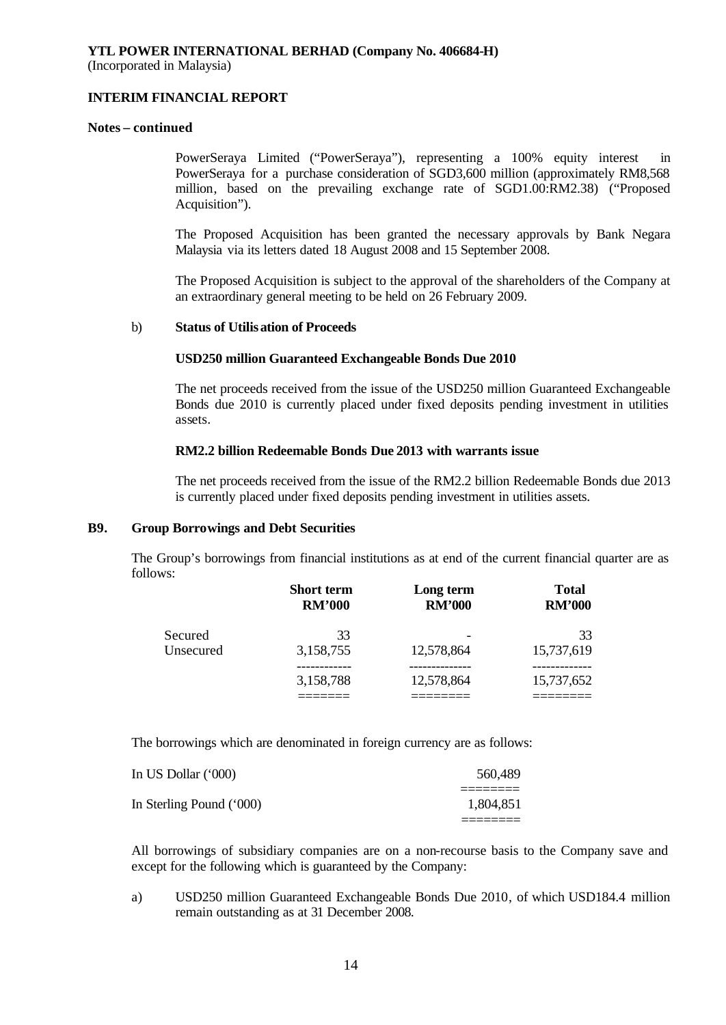# **INTERIM FINANCIAL REPORT**

## **Notes – continued**

PowerSeraya Limited ("PowerSeraya"), representing a 100% equity interest in PowerSeraya for a purchase consideration of SGD3,600 million (approximately RM8,568 million, based on the prevailing exchange rate of SGD1.00:RM2.38) ("Proposed Acquisition").

The Proposed Acquisition has been granted the necessary approvals by Bank Negara Malaysia via its letters dated 18 August 2008 and 15 September 2008.

The Proposed Acquisition is subject to the approval of the shareholders of the Company at an extraordinary general meeting to be held on 26 February 2009.

#### b) **Status of Utilisation of Proceeds**

#### **USD250 million Guaranteed Exchangeable Bonds Due 2010**

The net proceeds received from the issue of the USD250 million Guaranteed Exchangeable Bonds due 2010 is currently placed under fixed deposits pending investment in utilities assets.

#### **RM2.2 billion Redeemable Bonds Due 2013 with warrants issue**

The net proceeds received from the issue of the RM2.2 billion Redeemable Bonds due 2013 is currently placed under fixed deposits pending investment in utilities assets.

### **B9. Group Borrowings and Debt Securities**

The Group's borrowings from financial institutions as at end of the current financial quarter are as follows:

|           | <b>Short term</b><br><b>RM'000</b> | Long term<br><b>RM'000</b> | <b>Total</b><br><b>RM'000</b> |
|-----------|------------------------------------|----------------------------|-------------------------------|
| Secured   | 33                                 |                            | 33                            |
| Unsecured | 3,158,755                          | 12,578,864                 | 15,737,619                    |
|           | 3,158,788                          | 12,578,864                 | 15,737,652                    |
|           |                                    |                            |                               |

The borrowings which are denominated in foreign currency are as follows:

| In US Dollar (*000)      | 560,489   |
|--------------------------|-----------|
| In Sterling Pound ('000) | 1.804.851 |
|                          |           |

All borrowings of subsidiary companies are on a non-recourse basis to the Company save and except for the following which is guaranteed by the Company:

a) USD250 million Guaranteed Exchangeable Bonds Due 2010, of which USD184.4 million remain outstanding as at 31 December 2008.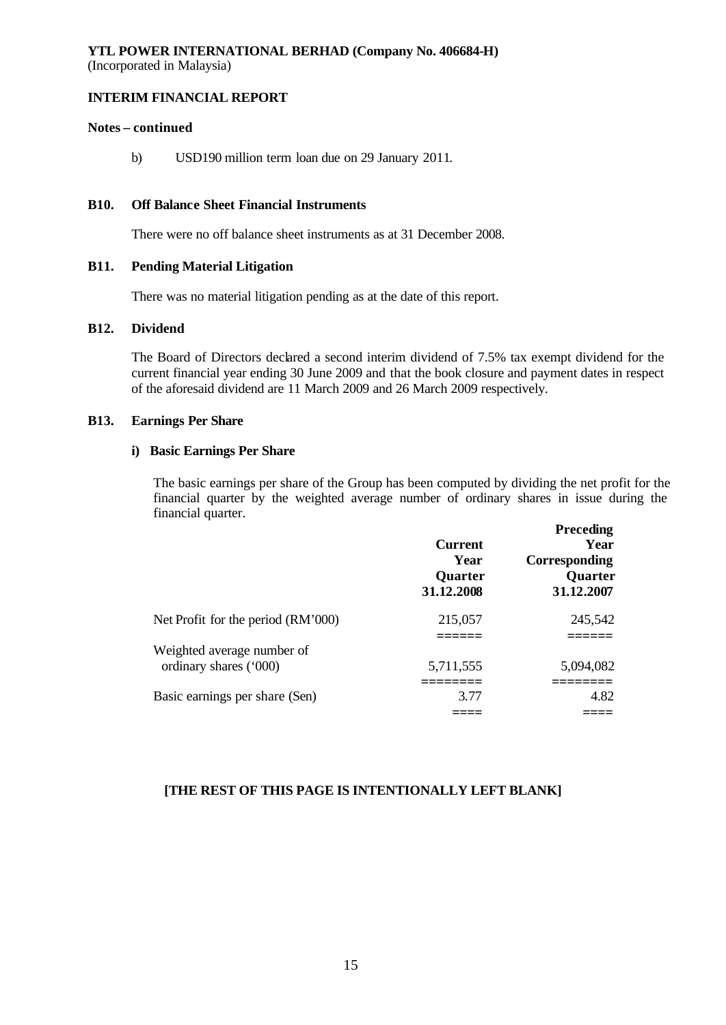## **INTERIM FINANCIAL REPORT**

# **Notes – continued**

b) USD190 million term loan due on 29 January 2011.

#### **B10. Off Balance Sheet Financial Instruments**

There were no off balance sheet instruments as at 31 December 2008.

#### **B11. Pending Material Litigation**

There was no material litigation pending as at the date of this report.

# **B12. Dividend**

The Board of Directors declared a second interim dividend of 7.5% tax exempt dividend for the current financial year ending 30 June 2009 and that the book closure and payment dates in respect of the aforesaid dividend are 11 March 2009 and 26 March 2009 respectively.

#### **B13. Earnings Per Share**

#### **i) Basic Earnings Per Share**

The basic earnings per share of the Group has been computed by dividing the net profit for the financial quarter by the weighted average number of ordinary shares in issue during the financial quarter. **Preceding**

|                                                      | <b>Current</b><br>Year<br><b>Quarter</b><br>31.12.2008 | <b>Preceding</b><br>Year<br>Corresponding<br><b>Quarter</b><br>31.12.2007 |
|------------------------------------------------------|--------------------------------------------------------|---------------------------------------------------------------------------|
| Net Profit for the period (RM'000)                   | 215,057                                                | 245,542                                                                   |
|                                                      |                                                        |                                                                           |
| Weighted average number of<br>ordinary shares ('000) | 5,711,555                                              | 5,094,082                                                                 |
| Basic earnings per share (Sen)                       | 3.77                                                   | 4.82                                                                      |
|                                                      |                                                        |                                                                           |